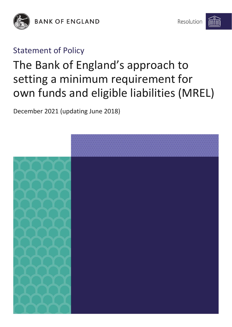

**BANK OF ENGLAND** 

## Statement of Policy

# The Bank of England's approach to setting a minimum requirement for own funds and eligible liabilities (MREL)

December 2021 (updating June 2018)

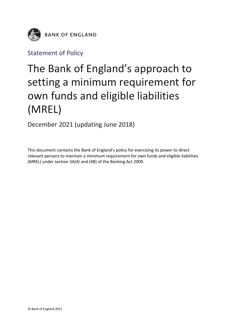

Statement of Policy

## The Bank of England's approach to setting a minimum requirement for own funds and eligible liabilities (MREL)

December 2021 (updating June 2018)

This document contains the Bank of England's policy for exercising its power to direct relevant persons to maintain a minimum requirement for own funds and eligible liabilities (MREL) under section 3A(4) and (4B) of the Banking Act 2009.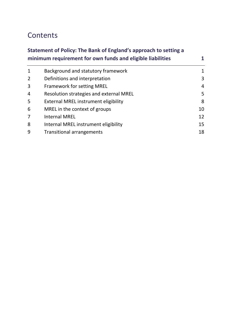## **Contents**

## **[Statement of Policy: The Bank of England's approach to setting a](#page-3-0)  [minimum requirement for own funds and eligible liabilities](#page-3-0) 1**

| $\mathbf 1$    | Background and statutory framework      | 1  |
|----------------|-----------------------------------------|----|
| $\overline{2}$ | Definitions and interpretation          | 3  |
| 3              | <b>Framework for setting MREL</b>       | 4  |
| 4              | Resolution strategies and external MREL | 5  |
| 5              | External MREL instrument eligibility    | 8  |
| 6              | MREL in the context of groups           | 10 |
| 7              | <b>Internal MREL</b>                    | 12 |
| 8              | Internal MREL instrument eligibility    | 15 |
| 9              | <b>Transitional arrangements</b>        | 18 |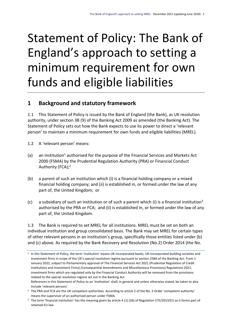# <span id="page-3-0"></span>Statement of Policy: The Bank of England's approach to setting a minimum requirement for own funds and eligible liabilities

## <span id="page-3-1"></span>**1 Background and statutory framework**

1.1 This Statement of Policy is issued by the Bank of England (the Bank), as UK resolution authority, under section 3B (9) of the Banking Act 2009 as amended (the Banking Act). The Statement of Policy sets out how the Bank expects to use its power to direct a 'relevant person' to maintain a minimum requirement for own funds and eligible liabilities (MREL).

- 1.2 A 'relevant person' means:
- (a) an institution<sup>1</sup> authorised for the purpose of the Financial Services and Markets Act 2000 (FSMA) by the Prudential Regulation Authority (PRA) or Financial Conduct Authority (FCA);<sup>2</sup>
- (b) a parent of such an institution which (i) is a financial holding company or a mixed financial holding company; and (ii) is established in, or formed under the law of any part of, the United Kingdom; or
- (c) a subsidiary of such an institution or of such a parent which (i) is a financial institution<sup>3</sup> authorised by the PRA or FCA; and (ii) is established in, or formed under the law of any part of, the United Kingdom.

1.3 The Bank is required to set MREL for all institutions. MREL must be set on both an individual institution and group consolidated basis. The Bank may set MREL for certain types of other relevant persons in an institution's group, specifically those entities listed under (b) and (c) above. As required by the Bank Recovery and Resolution (No.2) Order 2014 (the No.

<sup>1</sup> In this Statement of Policy, the term 'institution' means UK-incorporated banks, UK-incorporated building societies and investment firms in scope of the UK's special resolution regime pursuant to section 258A of the Banking Act. From 1 January 2022, subject to Parliamentary approval of The Financial Services Act 2021 (Prudential Regulation of Credit Institutions and Investment Firms) (Consequential Amendments and Miscellaneous Provisions) Regulations 2021, investment firms which are regulated only by the Financial Conduct Authority will be removed from the provisions related to the special resolution regime set out in the Banking Act.

References in this Statement of Policy to an 'institution' shall, in general and unless otherwise stated, be taken to also include 'relevant persons'.

<sup>&</sup>lt;sup>2</sup> The PRA and FCA are the UK competent authorities. According to article 2 of the No. 2 Order 'competent authority' means the supervisor of an authorised person under FSMA.

<sup>&</sup>lt;sup>3</sup> The term 'financial institution' has the meaning given by article 4 (1) (26) of Regulation 575/2013/EU as it forms part of retained EU law.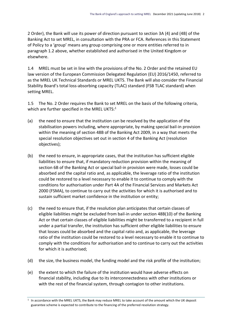2 Order), the Bank will use its power of direction pursuant to section 3A (4) and (4B) of the Banking Act to set MREL, in consultation with the PRA or FCA. References in this Statement of Policy to a 'group' means any group comprising one or more entities referred to in paragraph 1.2 above, whether established and authorised in the United Kingdom or elsewhere.

1.4 MREL must be set in line with the provisions of the No. 2 Order and the retained EU law version of the European Commission Delegated Regulation (EU) 2016/1450, referred to as the MREL UK Technical Standards or MREL UKTS. The Bank will also consider the Financial Stability Board's total loss-absorbing capacity (TLAC) standard (FSB TLAC standard) when setting MREL.

1.5 The No. 2 Order requires the Bank to set MREL on the basis of the following criteria, which are further specified in the MREL UKTS:<sup>1</sup>

- (a) the need to ensure that the institution can be resolved by the application of the stabilisation powers including, where appropriate, by making special bail-in provision within the meaning of section 48B of the Banking Act 2009, in a way that meets the special resolution objectives set out in section 4 of the Banking Act (resolution objectives);
- (b) the need to ensure, in appropriate cases, that the institution has sufficient eligible liabilities to ensure that, if mandatory reduction provision within the meaning of section 6B of the Banking Act or special bail-in provision were made, losses could be absorbed and the capital ratio and, as applicable, the leverage ratio of the institution could be restored to a level necessary to enable it to continue to comply with the conditions for authorisation under Part 4A of the Financial Services and Markets Act 2000 (FSMA), to continue to carry out the activities for which it is authorised and to sustain sufficient market confidence in the institution or entity;
- (c) the need to ensure that, if the resolution plan anticipates that certain classes of eligible liabilities might be excluded from bail-in under section 48B(10) of the Banking Act or that certain classes of eligible liabilities might be transferred to a recipient in full under a partial transfer, the institution has sufficient other eligible liabilities to ensure that losses could be absorbed and the capital ratio and, as applicable, the leverage ratio of the institution could be restored to a level necessary to enable it to continue to comply with the conditions for authorisation and to continue to carry out the activities for which it is authorised;
- (d) the size, the business model, the funding model and the risk profile of the institution;
- (e) the extent to which the failure of the institution would have adverse effects on financial stability, including due to its interconnectedness with other institutions or with the rest of the financial system, through contagion to other institutions.

<sup>1</sup> In accordance with the MREL UKTS, the Bank may reduce MREL to take account of the amount which the UK deposit guarantee scheme is expected to contribute to the financing of the preferred resolution strategy.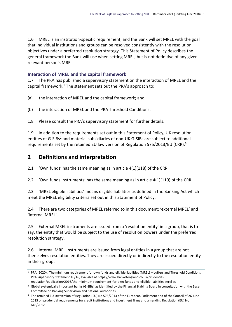1.6 MREL is an institution-specific requirement, and the Bank will set MREL with the goal that individual institutions and groups can be resolved consistently with the resolution objectives under a preferred resolution strategy. This Statement of Policy describes the general framework the Bank will use when setting MREL, but is not definitive of any given relevant person's MREL.

#### **Interaction of MREL and the capital framework**

1.7 The PRA has published a supervisory statement on the interaction of MREL and the capital framework.<sup>1</sup> The statement sets out the PRA's approach to:

- (a) the interaction of MREL and the capital framework; and
- (b) the interaction of MREL and the PRA Threshold Conditions.

1.8 Please consult the PRA's supervisory statement for further details.

1.9 In addition to the requirements set out in this Statement of Policy, UK resolution entities of G-SIBs<sup>2</sup> and material subsidiaries of non-UK G-SIBs are subject to additional requirements set by the retained EU law version of Regulation 575/2013/EU (CRR).<sup>3</sup>

### <span id="page-5-0"></span>**2 Definitions and interpretation**

2.1 'Own funds' has the same meaning as in article 4(1)(118) of the CRR.

2.2 'Own funds instruments' has the same meaning as in article 4(1)(119) of the CRR.

2.3 'MREL eligible liabilities' means eligible liabilities as defined in the Banking Act which meet the MREL eligibility criteria set out in this Statement of Policy.

2.4 There are two categories of MREL referred to in this document: 'external MREL' and 'internal MREL'.

2.5 External MREL instruments are issued from a 'resolution entity' in a group, that is to say, the entity that would be subject to the use of resolution powers under the preferred resolution strategy.

2.6 Internal MREL instruments are issued from legal entities in a group that are not themselves resolution entities. They are issued directly or indirectly to the resolution entity in their group.

<sup>1</sup> PRA (2020), 'The minimum requirement for own funds and eligible liabilities (MREL) – buffers and Threshold Conditions ', PRA Supervisory Statement 16/16, available at https://www.bankofengland.co.uk/prudentialregulation/publication/2016/the-minimum-requirement-for-own-funds-and-eligible-liabilities-mrel-ss

<sup>2</sup> Global systemically important banks (G-SIBs) as identified by the Financial Stability Board in consultation with the Basel Committee on Banking Supervision and national authorities.

<sup>&</sup>lt;sup>3</sup> The retained EU law version of Regulation (EU) No 575/2013 of the European Parliament and of the Council of 26 June 2013 on prudential requirements for credit institutions and investment firms and amending Regulation (EU) No 648/2012.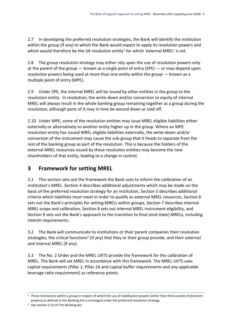2.7 In developing the preferred resolution strategies, the Bank will identify the institution within the group (if any) to which the Bank would expect to apply its resolution powers and which would therefore be the UK resolution entity<sup>1</sup> for which 'external MREL' is set.

2.8 The group resolution strategy may either rely upon the use of resolution powers only at the parent of the group — known as a single point of entry (SPE) — or may depend upon resolution powers being used at more than one entity within the group — known as a multiple point of entry (MPE).

2.9 Under SPE, the internal MREL will be issued by other entities in the group to the resolution entity. In resolution, the write-down and/or conversion to equity of internal MREL will always result in the whole banking group remaining together as a group during the resolution, although parts of it may in time be wound down or sold off.

2.10 Under MPE, some of the resolution entities may issue MREL eligible liabilities either externally or alternatively to another entity higher up in the group. Where an MPE resolution entity has issued MREL eligible liabilities externally, the write-down and/or conversion of the instrument may cause the sub-group that it heads to separate from the rest of the banking group as part of the resolution. This is because the holders of the external MREL resources issued by these resolution entities may become the new shareholders of that entity, leading to a change in control.

## <span id="page-6-0"></span>**3 Framework for setting MREL**

3.1 This section sets out the framework the Bank uses to inform the calibration of an institution's MREL. Section 4 describes additional adjustments which may be made on the basis of the preferred resolution strategy for an institution, Section 5 describes additional criteria which liabilities must meet in order to qualify as external MREL resources, Section 6 sets out the Bank's principles for setting MRELs within groups, Section 7 describes internal MREL scope and calibration, Section 8 sets out internal MREL instrument eligibility, and Section 9 sets out the Bank's approach to the transition to final (end-state) MRELs, including interim requirements.

3.2 The Bank will communicate to institutions or their parent companies their resolution strategies, the critical functions<sup>2</sup> (if any) that they or their group provide, and their external and internal MREL (if any).

3.3 The No. 2 Order and the MREL UKTS provide the framework for the calibration of MREL. The Bank will set MREL in accordance with this framework. The MREL UKTS uses capital requirements (Pillar 1, Pillar 2A and capital buffer requirements and any applicable leverage ratio requirement) as reference points.

 $1$  Those institutions within a group in respect of which the use of stabilisation powers (other than third country instrument powers) as defined in the Banking Act is envisaged under the preferred resolution strategy.

<sup>2</sup> See section 3 (1) of The Banking Act.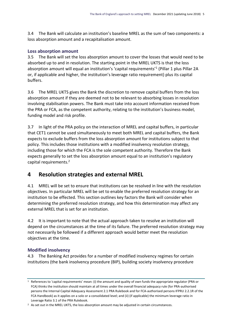3.4 The Bank will calculate an institution's baseline MREL as the sum of two components: a loss absorption amount and a recapitalisation amount.

#### **Loss absorption amount**

3.5 The Bank will set the loss absorption amount to cover the losses that would need to be absorbed up to and in resolution. The starting point in the MREL UKTS is that the loss absorption amount will equal an institution's 'capital requirements'<sup>1</sup> (Pillar 1 plus Pillar 2A or, if applicable and higher, the institution's leverage ratio requirement) plus its capital buffers.

3.6 The MREL UKTS gives the Bank the discretion to remove capital buffers from the loss absorption amount if they are deemed not to be relevant to absorbing losses in resolution involving stabilisation powers. The Bank must take into account information received from the PRA or FCA, as the competent authority, relating to the institution's business model, funding model and risk profile.

3.7 In light of the PRA policy on the interaction of MREL and capital buffers, in particular that CET1 cannot be used simultaneously to meet both MREL and capital buffers, the Bank expects to exclude buffers from the loss absorption amount for institutions subject to that policy. This includes those institutions with a modified insolvency resolution strategy, including those for which the FCA is the sole competent authority. Therefore the Bank expects generally to set the loss absorption amount equal to an institution's regulatory capital requirements.<sup>2</sup>

### <span id="page-7-0"></span>**4 Resolution strategies and external MREL**

4.1 MREL will be set to ensure that institutions can be resolved in line with the resolution objectives. In particular MREL will be set to enable the preferred resolution strategy for an institution to be effected. This section outlines key factors the Bank will consider when determining the preferred resolution strategy, and how this determination may affect any external MREL that is set for an institution.

4.2 It is important to note that the actual approach taken to resolve an institution will depend on the circumstances at the time of its failure. The preferred resolution strategy may not necessarily be followed if a different approach would better meet the resolution objectives at the time.

#### **Modified insolvency**

4.3 The Banking Act provides for a number of modified insolvency regimes for certain institutions (the bank insolvency procedure (BIP), building society insolvency procedure

<sup>1</sup> References to 'capital requirements' mean: (i) the amount and quality of own funds the appropriate regulator (PRA or FCA) thinks the institution should maintain at all times under the overall financial adequacy rule (for PRA-authorised persons the Internal Capital Adequacy Assessment 2.1 PRA Rulebook and for FCA-authorised persons IFPRU 2.2.1R of the FCA Handbook) as it applies on a solo or a consolidated level; and (ii) (if applicable) the minimum leverage ratio in Leverage Ratio 3.1 of the PRA Rulebook.

<sup>&</sup>lt;sup>2</sup> As set out in the MREL UKTS, the loss absorption amount may be adjusted in certain circumstances.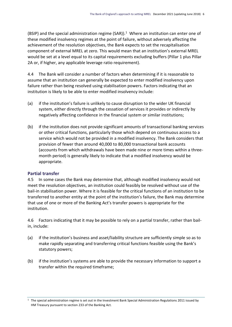(BSIP) and the special administration regime (SAR)).<sup>1</sup> Where an institution can enter one of these modified insolvency regimes at the point of failure, without adversely affecting the achievement of the resolution objectives, the Bank expects to set the recapitalisation component of external MREL at zero. This would mean that an institution's external MREL would be set at a level equal to its capital requirements excluding buffers (Pillar 1 plus Pillar 2A or, if higher, any applicable leverage ratio requirement).

4.4 The Bank will consider a number of factors when determining if it is reasonable to assume that an institution can generally be expected to enter modified insolvency upon failure rather than being resolved using stabilisation powers. Factors indicating that an institution is likely to be able to enter modified insolvency include:

- (a) if the institution's failure is unlikely to cause disruption to the wider UK financial system, either directly through the cessation of services it provides or indirectly by negatively affecting confidence in the financial system or similar institutions;
- (b) if the institution does not provide significant amounts of transactional banking services or other critical functions, particularly those which depend on continuous access to a service which would not be provided in a modified insolvency. The Bank considers that provision of fewer than around 40,000 to 80,000 transactional bank accounts (accounts from which withdrawals have been made nine or more times within a threemonth period) is generally likely to indicate that a modified insolvency would be appropriate.

#### **Partial transfer**

4.5 In some cases the Bank may determine that, although modified insolvency would not meet the resolution objectives, an institution could feasibly be resolved without use of the bail-in stabilisation power. Where it is feasible for the critical functions of an institution to be transferred to another entity at the point of the institution's failure, the Bank may determine that use of one or more of the Banking Act's transfer powers is appropriate for the institution.

4.6 Factors indicating that it may be possible to rely on a partial transfer, rather than bailin, include:

- (a) if the institution's business and asset/liability structure are sufficiently simple so as to make rapidly separating and transferring critical functions feasible using the Bank's statutory powers;
- (b) if the institution's systems are able to provide the necessary information to support a transfer within the required timeframe;

<sup>&</sup>lt;sup>1</sup> The special administration regime is set out in the Investment Bank Special Administration Regulations 2011 issued by HM Treasury pursuant to section 233 of the Banking Act.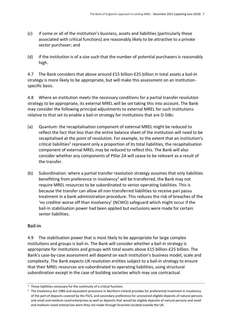- (c) if some or all of the institution's business, assets and liabilities (particularly those associated with critical functions) are reasonably likely to be attractive to a private sector purchaser; and
- (d) if the institution is of a size such that the number of potential purchasers is reasonably high.

4.7 The Bank considers that above around £15 billion-£25 billion in total assets a bail-in strategy is more likely to be appropriate, but will make this assessment on an institutionspecific basis.

4.8 Where an institution meets the necessary conditions for a partial transfer resolution strategy to be appropriate, its external MREL will be set taking this into account. The Bank may consider the following principal adjustments to external MREL for such institutions relative to that set to enable a bail-in strategy for institutions that are D-SIBs:

- (a) Quantum: the recapitalisation component of external MREL might be reduced to reflect the fact that less than the entire balance sheet of the institution will need to be recapitalised at the point of resolution. For example, to the extent that an institution's critical liabilities<sup>1</sup> represent only a proportion of its total liabilities, the recapitalisation component of external MREL may be reduced to reflect this. The Bank will also consider whether any components of Pillar 2A will cease to be relevant as a result of the transfer.
- (b) Subordination: where a partial transfer resolution strategy assumes that only liabilities benefitting from preference in insolvency<sup>2</sup> will be transferred, the Bank may not require MREL resources to be subordinated to senior operating liabilities. This is because the transfer can allow all non-transferred liabilities to receive pari passu treatment in a bank administration procedure. This reduces the risk of breaches of the 'no creditor worse off than insolvency' (NCWO) safeguard which might occur if the bail-in stabilisation power had been applied but exclusions were made for certain senior liabilities.

#### **Bail-in**

4.9 The stabilisation power that is most likely to be appropriate for large complex institutions and groups is bail-in. The Bank will consider whether a bail-in strategy is appropriate for institutions and groups with total assets above £15 billion-£25 billion. The Bank's case-by-case assessment will depend on each institution's business model, scale and complexity. The Bank expects UK resolution entities subject to a bail-in strategy to ensure that their MREL resources are subordinated to operating liabilities, using structural subordination except in the case of building societies which may use contractual

<sup>&</sup>lt;sup>1</sup> Those liabilities necessary for the continuity of a critical function.

<sup>&</sup>lt;sup>2</sup> The Insolvency Act 1986 and equivalent provisions in Northern Ireland provides for preferential treatment in insolvency of the part of deposits covered by the FSCS, and secondary preference for uncovered eligible deposits of natural persons and small and medium-sized enterprises as well as deposits that would be eligible deposits of natural persons and small and medium–sized enterprises were they not made through branches located outside the UK.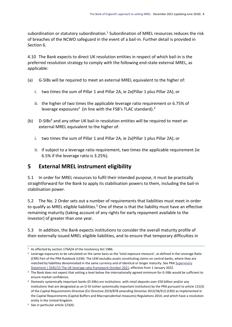subordination or statutory subordination.<sup>1</sup> Subordination of MREL resources reduces the risk of breaches of the NCWO safeguard in the event of a bail-in. Further detail is provided in Section 6.

4.10 The Bank expects to direct UK resolution entities in respect of which bail-in is the preferred resolution strategy to comply with the following end-state external MREL, as applicable:

- (a) G-SIBs will be required to meet an external MREL equivalent to the higher of:
	- i. two times the sum of Pillar 1 and Pillar 2A, ie 2x(Pillar 1 plus Pillar 2A); or
	- ii. the higher of two times the applicable leverage ratio requirement or 6.75% of leverage exposures<sup>2</sup> (in line with the FSB's TLAC standard).<sup>3</sup>
- (b) D-SIBs<sup>4</sup> and any other UK bail-in resolution entities will be required to meet an external MREL equivalent to the higher of:
	- i. two times the sum of Pillar 1 and Pillar 2A, ie 2x(Pillar 1 plus Pillar 2A); or
	- ii. if subject to a leverage ratio requirement, two times the applicable requirement (ie 6.5% if the leverage ratio is 3.25%).

### <span id="page-10-0"></span>**5 External MREL instrument eligibility**

5.1 In order for MREL resources to fulfil their intended purpose, it must be practically straightforward for the Bank to apply its stabilisation powers to them, including the bail-in stabilisation power.

5.2 The No. 2 Order sets out a number of requirements that liabilities must meet in order to qualify as MREL eligible liabilities.<sup>5</sup> One of these is that the liability must have an effective remaining maturity (taking account of any rights for early repayment available to the investor) of greater than one year.

5.3 In addition, the Bank expects institutions to consider the overall maturity profile of their externally issued MREL eligible liabilities, and to ensure that temporary difficulties in

<sup>&</sup>lt;sup>1</sup> As effected by section 176AZA of the Insolvency Act 1986.

<sup>&</sup>lt;sup>2</sup> Leverage exposures to be calculated on the same basis as the 'total exposure measure', as defined in the Leverage Ratio (CRR) Part of the PRA Rulebook (LEM). The LEM excludes assets constituting claims on central banks, where they are matched by liabilities denominated in the same currency and of identical or longer maturity. See PRA Supervisory [Statement | SS45/15 The UK leverage ratio framework](https://www.bankofengland.co.uk/-/media/boe/files/prudential-regulation/supervisory-statement/2021/ss4515-oct-2021.pdf?la=en&hash=8E35B37C5108C0244AE5DAC2530D0CD9834977E7) October 2021, effective from 1 January 2022.

<sup>&</sup>lt;sup>3</sup> The Bank does not expect that setting a level below the internationally agreed minimum for G-SIBs would be sufficient to ensure market confidence.

<sup>4</sup> Domestic systemically important banks (D-SIBs) are institutions with retail deposits over £50 billion and/or any institutions that are designated as an O-SII (other systemically important institution) by the PRA pursuant to article 131(3) of the Capital Requirements Directive (EU Directive 2019/878 amending Directive 2013/36/EU) (CRD) as implemented in the Capital Requirements (Capital Buffers and Macroprudential measures) Regulations 2014, and which have a resolution entity in the United Kingdom.

<sup>5</sup> See in particular article 123(4).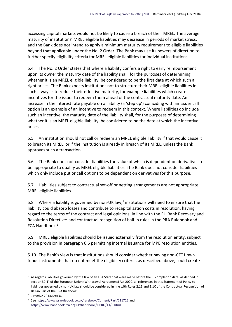accessing capital markets would not be likely to cause a breach of their MREL. The average maturity of institutions' MREL eligible liabilities may decrease in periods of market stress, and the Bank does not intend to apply a minimum maturity requirement to eligible liabilities beyond that applicable under the No. 2 Order. The Bank may use its powers of direction to further specify eligibility criteria for MREL eligible liabilities for individual institutions.

5.4 The No. 2 Order states that where a liability confers a right to early reimbursement upon its owner the maturity date of the liability shall, for the purposes of determining whether it is an MREL eligible liability, be considered to be the first date at which such a right arises. The Bank expects institutions not to structure their MREL eligible liabilities in such a way as to reduce their effective maturity, for example liabilities which create incentives for the issuer to redeem them ahead of the contractual maturity date. An increase in the interest rate payable on a liability (a 'step up') coinciding with an issuer call option is an example of an incentive to redeem in this context. Where liabilities do include such an incentive, the maturity date of the liability shall, for the purposes of determining whether it is an MREL eligible liability, be considered to be the date at which the incentive arises.

5.5 An institution should not call or redeem an MREL eligible liability if that would cause it to breach its MREL, or if the institution is already in breach of its MREL, unless the Bank approves such a transaction.

5.6 The Bank does not consider liabilities the value of which is dependent on derivatives to be appropriate to qualify as MREL eligible liabilities. The Bank does not consider liabilities which only include put or call options to be dependent on derivatives for this purpose.

5.7 Liabilities subject to contractual set-off or netting arrangements are not appropriate MREL eligible liabilities.

5.8 Where a liability is governed by non-UK law,<sup>1</sup> institutions will need to ensure that the liability could absorb losses and contribute to recapitalisation costs in resolution, having regard to the terms of the contract and legal opinions, in line with the EU Bank Recovery and Resolution Directive<sup>2</sup> and contractual recognition of bail-in rules in the PRA Rulebook and FCA Handbook.<sup>3</sup>

5.9 MREL eligible liabilities should be issued externally from the resolution entity, subject to the provision in paragraph 6.6 permitting internal issuance for MPE resolution entities.

5.10 The Bank's view is that institutions should consider whether having non-CET1 own funds instruments that do not meet the eligibility criteria, as described above, could create

<sup>1</sup> As regards liabilities governed by the law of an EEA State that were made before the IP completion date, as defined in section 39(1) of the European Union (Withdrawal Agreement) Act 2020, all references in this Statement of Policy to liabilities governed by non-UK law should be considered in line with Rules 2.1B and 2.1C of the Contractual Recognition of Bail-in Part of the PRA Rulebook.

<sup>2</sup> Directive 2014/59/EU.

<sup>3</sup> Se[e https://www.prarulebook.co.uk/rulebook/Content/Part/211722](https://www.prarulebook.co.uk/rulebook/Content/Part/211722) and [https://www.handbook.fca.org.uk/handbook/IFPRU/11/6.html.](https://www.handbook.fca.org.uk/handbook/IFPRU/11/6.html)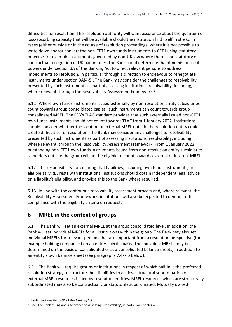difficulties for resolution. The resolution authority will want assurance about the quantum of loss-absorbing capacity that will be available should the institution find itself in stress. In cases (either outside or in the course of resolution proceedings) where it is not possible to write down and/or convert the non-CET1 own funds instruments to CET1 using statutory powers,<sup>1</sup> for example instruments governed by non-UK law where there is no statutory or contractual recognition of UK bail-in rules, the Bank could determine that it needs to use its powers under section 3A of the Banking Act to direct relevant persons to address impediments to resolution, in particular through a direction to endeavour to renegotiate instruments under section 3A(4-5). The Bank may consider the challenges to resolvability presented by such instruments as part of assessing institutions' resolvability, including, where relevant, through the Resolvability Assessment Framework.<sup>2</sup>

5.11 Where own funds instruments issued externally by non-resolution entity subsidiaries count towards group consolidated capital, such instruments can count towards group consolidated MREL. The FSB's TLAC standard provides that such externally issued non-CET1 own funds instruments should not count towards TLAC from 1 January 2022. Institutions should consider whether the location of external MREL outside the resolution entity could create difficulties for resolution. The Bank may consider any challenges to resolvability presented by such instruments as part of assessing institutions' resolvability, including, where relevant, through the Resolvability Assessment Framework. From 1 January 2022, outstanding non-CET1 own funds instruments issued from non-resolution entity subsidiaries to holders outside the group will not be eligible to count towards external or internal MREL.

5.12 The responsibility for ensuring that liabilities, including own funds instruments, are eligible as MREL rests with institutions. Institutions should obtain independent legal advice on a liability's eligibility, and provide this to the Bank where required.

5.13 In line with the continuous resolvability assessment process and, where relevant, the Resolvability Assessment Framework, institutions will also be expected to demonstrate compliance with the eligibility criteria on request.

## <span id="page-12-0"></span>**6 MREL in the context of groups**

6.1 The Bank will set an external MREL at the group consolidated level. In addition, the Bank will set individual MRELs for all institutions within the group. The Bank may also set individual MRELs for relevant persons that are important from a resolution perspective (for example holding companies) on an entity-specific basis. The individual MRELs may be determined on the basis of consolidated or sub-consolidated balance sheets, in addition to an entity's own balance sheet (see paragraphs 7.4-7.5 below).

6.2 The Bank will require groups or institutions in respect of which bail-in is the preferred resolution strategy to structure their liabilities to achieve structural subordination of external MREL resources issued by resolution entities. MREL resources which are structurally subordinated may also be contractually or statutorily subordinated. Mutually owned

<sup>1</sup> Under sections 6A to 6D of the Banking Act.

<sup>&</sup>lt;sup>2</sup> See 'The Bank of England's Approach to Assessing Resolvability', in particular Chapter 4.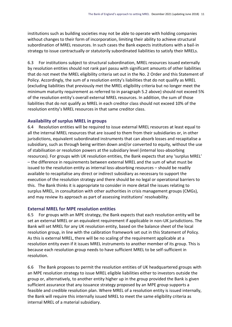institutions such as building societies may not be able to operate with holding companies without changes to their form of incorporation, limiting their ability to achieve structural subordination of MREL resources. In such cases the Bank expects institutions with a bail-in strategy to issue contractually or statutorily subordinated liabilities to satisfy their MRELs.

6.3 For institutions subject to structural subordination, MREL resources issued externally by resolution entities should not rank pari passu with significant amounts of other liabilities that do not meet the MREL eligibility criteria set out in the No. 2 Order and this Statement of Policy. Accordingly, the sum of a resolution entity's liabilities that do not qualify as MREL (excluding liabilities that previously met the MREL eligibility criteria but no longer meet the minimum maturity requirement as referred to in paragraph 5.2 above) should not exceed 5% of the resolution entity's overall external MREL resources. In addition, the sum of those liabilities that do not qualify as MREL in each creditor class should not exceed 10% of the resolution entity's MREL resources in that same creditor class.

#### **Availability of surplus MREL in groups**

6.4 Resolution entities will be required to issue external MREL resources at least equal to all the internal MREL resources that are issued to them from their subsidiaries or, in other jurisdictions, equivalent subordinated instruments that can absorb losses and recapitalise a subsidiary, such as through being written down and/or converted to equity, without the use of stabilisation or resolution powers at the subsidiary level (internal loss-absorbing resources). For groups with UK resolution entities, the Bank expects that any 'surplus MREL' – the difference in requirements between external MREL and the sum of what must be issued to the resolution entity as internal loss-absorbing resources – should be readily available to recapitalise any direct or indirect subsidiary as necessary to support the execution of the resolution strategy and there should be no legal or operational barriers to this. The Bank thinks it is appropriate to consider in more detail the issues relating to surplus MREL, in consultation with other authorities in crisis management groups (CMGs), and may review its approach as part of assessing institutions' resolvability.

#### **External MREL for MPE resolution entities**

6.5 For groups with an MPE strategy, the Bank expects that each resolution entity will be set an external MREL or an equivalent requirement if applicable in non-UK jurisdictions. The Bank will set MREL for any UK resolution entity, based on the balance sheet of the local resolution group, in line with the calibration framework set out in this Statement of Policy. As this is external MREL, there will be no scaling of the requirement applicable at a resolution entity even if it issues MREL instruments to another member of its group. This is because each resolution group needs to have sufficient MREL to be self-sufficient in resolution.

6.6 The Bank proposes to permit the resolution entities of UK headquartered groups with an MPE resolution strategy to issue MREL eligible liabilities either to investors outside the group or, alternatively, to another entity higher up in the group provided the Bank is given sufficient assurance that any issuance strategy proposed by an MPE group supports a feasible and credible resolution plan. Where MREL of a resolution entity is issued internally, the Bank will require this internally issued MREL to meet the same eligibility criteria as internal MREL of a material subsidiary.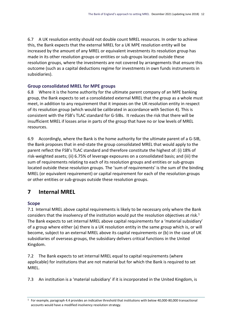6.7 A UK resolution entity should not double count MREL resources. In order to achieve this, the Bank expects that the external MREL for a UK MPE resolution entity will be increased by the amount of any MREL or equivalent investments its resolution group has made in its other resolution groups or entities or sub-groups located outside these resolution groups, where the investments are not covered by arrangements that ensure this outcome (such as a capital deductions regime for investments in own funds instruments in subsidiaries).

#### **Group consolidated MREL for MPE groups**

6.8 Where it is the home authority for the ultimate parent company of an MPE banking group, the Bank expects to set a consolidated external MREL that the group as a whole must meet, in addition to any requirement that it imposes on the UK resolution entity in respect of its resolution group (which would be calibrated in accordance with Section 4). This is consistent with the FSB's TLAC standard for G-SIBs. It reduces the risk that there will be insufficient MREL if losses arise in parts of the group that have no or low levels of MREL resources.

6.9 Accordingly, where the Bank is the home authority for the ultimate parent of a G-SIB, the Bank proposes that in end-state the group consolidated MREL that would apply to the parent reflect the FSB's TLAC standard and therefore constitute the highest of: (i) 18% of risk-weighted assets; (ii) 6.75% of leverage exposures on a consolidated basis; and (iii) the sum of requirements relating to each of its resolution groups and entities or sub-groups located outside these resolution groups. The 'sum of requirements' is the sum of the binding MREL (or equivalent requirement) or capital requirement for each of the resolution groups or other entities or sub-groups outside these resolution groups.

## <span id="page-14-0"></span>**7 Internal MREL**

#### **Scope**

7.1 Internal MREL above capital requirements is likely to be necessary only where the Bank considers that the insolvency of the institution would put the resolution objectives at risk.<sup>1</sup> The Bank expects to set internal MREL above capital requirements for a 'material subsidiary' of a group where either (a) there is a UK resolution entity in the same group which is, or will become, subject to an external MREL above its capital requirements or (b) in the case of UK subsidiaries of overseas groups, the subsidiary delivers critical functions in the United Kingdom.

7.2 The Bank expects to set internal MREL equal to capital requirements (where applicable) for institutions that are not material but for which the Bank is required to set MREL.

7.3 An institution is a 'material subsidiary' if it is incorporated in the United Kingdom, is

<sup>1</sup> For example, paragraph 4.4 provides an indicative threshold that institutions with below 40,000-80,000 transactional accounts would have a modified insolvency resolution strategy.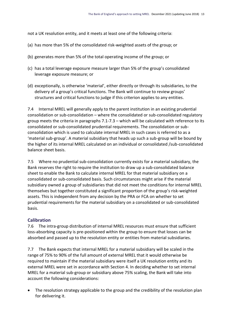not a UK resolution entity, and it meets at least one of the following criteria:

- (a) has more than 5% of the consolidated risk-weighted assets of the group; or
- (b) generates more than 5% of the total operating income of the group; or
- (c) has a total leverage exposure measure larger than 5% of the group's consolidated leverage exposure measure; or
- (d) exceptionally, is otherwise 'material', either directly or through its subsidiaries, to the delivery of a group's critical functions. The Bank will continue to review groups' structures and critical functions to judge if this criterion applies to any entities.

7.4 Internal MREL will generally apply to the parent institution in an existing prudential consolidation or sub-consolidation – where the consolidated or sub-consolidated regulatory group meets the criteria in paragraphs 7.1-7.3 – which will be calculated with reference to its consolidated or sub-consolidated prudential requirements. The consolidation or subconsolidation which is used to calculate internal MREL in such cases is referred to as a 'material sub-group'. A material subsidiary that heads up such a sub-group will be bound by the higher of its internal MREL calculated on an individual or consolidated /sub-consolidated balance sheet basis.

7.5 Where no prudential sub-consolidation currently exists for a material subsidiary, the Bank reserves the right to require the institution to draw up a sub-consolidated balance sheet to enable the Bank to calculate internal MREL for that material subsidiary on a consolidated or sub-consolidated basis. Such circumstances might arise if the material subsidiary owned a group of subsidiaries that did not meet the conditions for internal MREL themselves but together constituted a significant proportion of the group's risk-weighted assets. This is independent from any decision by the PRA or FCA on whether to set prudential requirements for the material subsidiary on a consolidated or sub-consolidated basis.

#### **Calibration**

7.6 The intra-group distribution of internal MREL resources must ensure that sufficient loss-absorbing capacity is pre-positioned within the group to ensure that losses can be absorbed and passed up to the resolution entity or entities from material subsidiaries.

7.7 The Bank expects that internal MREL for a material subsidiary will be scaled in the range of 75% to 90% of the full amount of external MREL that it would otherwise be required to maintain if the material subsidiary were itself a UK resolution entity and its external MREL were set in accordance with Section 4. In deciding whether to set internal MREL for a material sub-group or subsidiary above 75% scaling, the Bank will take into account the following considerations:

 The resolution strategy applicable to the group and the credibility of the resolution plan for delivering it.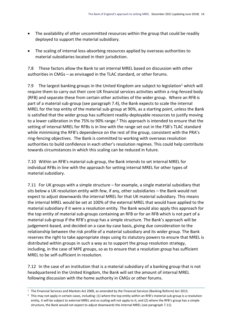- The availability of other uncommitted resources within the group that could be readily deployed to support the material subsidiary.
- The scaling of internal loss-absorbing resources applied by overseas authorities to material subsidiaries located in their jurisdiction.

7.8 These factors allow the Bank to set internal MREL based on discussion with other authorities in CMGs – as envisaged in the TLAC standard, or other forums.

7.9 The largest banking groups in the United Kingdom are subject to legislation<sup>1</sup> which will require them to carry out their core UK financial services activities within a ring-fenced body (RFB) and separate these from certain other activities of the wider group. Where an RFB is part of a material sub-group (see paragraph 7.4), the Bank expects to scale the internal MREL for the top entity of the material sub-group at 90%, as a starting point, unless the Bank is satisfied that the wider group has sufficient readily-deployable resources to justify moving to a lower calibration in the 75% to 90% range.<sup>2</sup> This approach is intended to ensure that the setting of internal MREL for RFBs is in line with the range set out in the FSB's TLAC standard while minimising the RFB's dependence on the rest of the group, consistent with the PRA's ring-fencing objectives. The Bank is committed to working with overseas resolution authorities to build confidence in each other's resolution regimes. This could help contribute towards circumstances in which this scaling can be reduced in future.

7.10 Within an RFB's material sub-group, the Bank intends to set internal MREL for individual RFBs in line with the approach for setting internal MREL for other types of material subsidiary.

7.11 For UK groups with a simple structure – for example, a single material subsidiary that sits below a UK resolution entity with few, if any, other subsidiaries – the Bank would not expect to adjust downwards the internal MREL for that UK material subsidiary. This means the internal MREL would be set at 100% of the external MREL that would have applied to the material subsidiary if it were a resolution entity. The Bank would also apply this approach for the top entity of material sub-groups containing an RFB or for an RFB which is not part of a material sub-group if the RFB's group has a simple structure. The Bank's approach will be judgement-based, and decided on a case-by-case basis, giving due consideration to the relationship between the risk profile of a material subsidiary and its wider group. The Bank reserves the right to take appropriate steps using its statutory powers to ensure that MREL is distributed within groups in such a way as to support the group resolution strategy, including, in the case of MPE groups, so as to ensure that a resolution group has sufficient MREL to be self-sufficient in resolution.

7.12 In the case of an institution that is a material subsidiary of a banking group that is not headquartered in the United Kingdom, the Bank will set the amount of internal MREL following discussion with the home authority in CMGs or other forums.

<sup>1</sup> The Financial Services and Markets Act 2000, as amended by the Financial Services (Banking Reform) Act 2013.

<sup>&</sup>lt;sup>2</sup> This may not apply in certain cases, including: (1) where the top entity within an RFB's material sub-group is a resolution entity, it will be subject to external MREL and so scaling will not apply to it; and (2) where the RFB's group has a simple structure, the Bank would not expect to adjust downwards the internal MREL (see paragraph 7.11).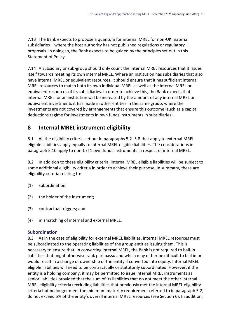7.13 The Bank expects to propose a quantum for internal MREL for non-UK material subsidiaries – where the host authority has not published regulations or regulatory proposals. In doing so, the Bank expects to be guided by the principles set out in this Statement of Policy.

7.14 A subsidiary or sub-group should only count the internal MREL resources that it issues itself towards meeting its own internal MREL. Where an institution has subsidiaries that also have internal MREL or equivalent resources, it should ensure that it has sufficient internal MREL resources to match both its own individual MREL as well as the internal MREL or equivalent resources of its subsidiaries. In order to achieve this, the Bank expects that internal MREL for an institution will be increased by the amount of any internal MREL or equivalent investments it has made in other entities in the same group, where the investments are not covered by arrangements that ensure this outcome (such as a capital deductions regime for investments in own funds instruments in subsidiaries).

## <span id="page-17-0"></span>**8 Internal MREL instrument eligibility**

8.1 All the eligibility criteria set out in paragraphs 5.2–5.8 that apply to external MREL eligible liabilities apply equally to internal MREL eligible liabilities. The considerations in paragraph 5.10 apply to non-CET1 own funds instruments in respect of internal MREL.

8.2 In addition to these eligibility criteria, internal MREL eligible liabilities will be subject to some additional eligibility criteria in order to achieve their purpose. In summary, these are eligibility criteria relating to:

- (1) subordination;
- (2) the holder of the instrument;
- (3) contractual triggers; and
- (4) mismatching of internal and external MREL.

#### **Subordination**

8.3 As in the case of eligibility for external MREL liabilities, internal MREL resources must be subordinated to the operating liabilities of the group entities issuing them. This is necessary to ensure that, in converting internal MREL, the Bank is not required to bail-in liabilities that might otherwise rank pari passu and which may either be difficult to bail in or would result in a change of ownership of the entity if converted into equity. Internal MREL eligible liabilities will need to be contractually or statutorily subordinated. However, if the entity is a holding company, it may be permitted to issue internal MREL instruments as senior liabilities provided that the sum of its liabilities that do not meet the other internal MREL eligibility criteria (excluding liabilities that previously met the internal MREL eligibility criteria but no longer meet the minimum maturity requirement referred to in paragraph 5.2) do not exceed 5% of the entity's overall internal MREL resources (see Section 6). In addition,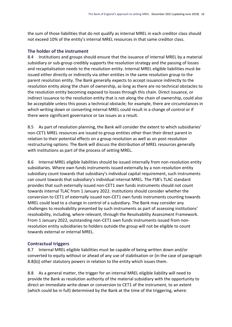the sum of those liabilities that do not qualify as internal MREL in each creditor class should not exceed 10% of the entity's internal MREL resources in that same creditor class.

#### **The holder of the instrument**

8.4 Institutions and groups should ensure that the issuance of internal MREL by a material subsidiary or sub-group credibly supports the resolution strategy and the passing of losses and recapitalisation needs to the resolution entity. Internal MREL eligible liabilities must be issued either directly or indirectly via other entities in the same resolution group to the parent resolution entity. The Bank generally expects to accept issuance indirectly to the resolution entity along the chain of ownership, as long as there are no technical obstacles to the resolution entity becoming exposed to losses through this chain. Direct issuance, or indirect issuance to the resolution entity that is not along the chain of ownership, could also be acceptable unless this poses a technical obstacle; for example, there are circumstances in which writing down or converting internal MREL could result in a change of control or if there were significant governance or tax issues as a result.

8.5 As part of resolution planning, the Bank will consider the extent to which subsidiaries' non-CET1 MREL resources are issued to group entities other than their direct parent in relation to their potential effects on a group resolution as well as on post-resolution restructuring options. The Bank will discuss the distribution of MREL resources generally with institutions as part of the process of setting MREL.

8.6 Internal MREL eligible liabilities should be issued internally from non-resolution entity subsidiaries. Where own funds instruments issued externally by a non-resolution entity subsidiary count towards that subsidiary's individual capital requirement, such instruments can count towards that subsidiary's individual internal MREL. The FSB's TLAC standard provides that such externally issued non-CET1 own funds instruments should not count towards internal TLAC from 1 January 2022. Institutions should consider whether the conversion to CET1 of externally issued non-CET1 own funds instruments counting towards MREL could lead to a change in control of a subsidiary. The Bank may consider any challenges to resolvability presented by such instruments as part of assessing institutions' resolvability, including, where relevant, through the Resolvability Assessment Framework. From 1 January 2022, outstanding non-CET1 own funds instruments issued from nonresolution entity subsidiaries to holders outside the group will not be eligible to count towards external or internal MREL.

#### **Contractual triggers**

8.7 Internal MREL eligible liabilities must be capable of being written down and/or converted to equity without or ahead of any use of stabilisation or (in the case of paragraph 8.8(b)) other statutory powers in relation to the entity which issues them.

8.8 As a general matter, the trigger for an internal MREL eligible liability will need to provide the Bank as resolution authority of the material subsidiary with the opportunity to direct an immediate write-down or conversion to CET1 of the instrument, to an extent (which could be in full) determined by the Bank at the time of the triggering, where: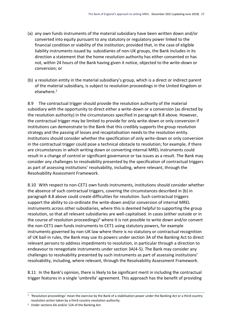- (a) any own funds instruments of the material subsidiary have been written down and/or converted into equity pursuant to any statutory or regulatory power linked to the financial condition or viability of the institution; provided that, in the case of eligible liability instruments issued by subsidiaries of non-UK groups, the Bank includes in its direction a statement that the home resolution authority has either consented or has not, within 24 hours of the Bank having given it notice, objected to the write-down or conversion; or
- (b) a resolution entity in the material subsidiary's group, which is a direct or indirect parent of the material subsidiary, is subject to resolution proceedings in the United Kingdom or elsewhere.<sup>1</sup>

8.9 The contractual trigger should provide the resolution authority of the material subsidiary with the opportunity to direct either a write-down or a conversion (as directed by the resolution authority) in the circumstances specified in paragraph 8.8 above. However, the contractual trigger may be limited to provide for only write-down or only conversion if institutions can demonstrate to the Bank that this credibly supports the group resolution strategy and the passing of losses and recapitalisation needs to the resolution entity. Institutions should consider whether the specification of only write-down or only conversion in the contractual trigger could pose a technical obstacle to resolution; for example, if there are circumstances in which writing down or converting internal MREL instruments could result in a change of control or significant governance or tax issues as a result. The Bank may consider any challenges to resolvability presented by the specification of contractual triggers as part of assessing institutions' resolvability, including, where relevant, through the Resolvability Assessment Framework.

8.10 With respect to non-CET1 own funds instruments, institutions should consider whether the absence of such contractual triggers, covering the circumstances described in (b) in paragraph 8.8 above could create difficulties for resolution. Such contractual triggers support the ability to co-ordinate the write-down and/or conversion of internal MREL instruments across other subsidiaries, where this is deemed helpful to supporting the group resolution, so that all relevant subsidiaries are well-capitalised. In cases (either outside or in the course of resolution proceedings)<sup>2</sup> where it is not possible to write down and/or convert the non-CET1 own funds instruments to CET1 using statutory powers, for example instruments governed by non-UK law where there is no statutory or contractual recognition of UK bail-in rules, the Bank may use its powers under section 3A of the Banking Act to direct relevant persons to address impediments to resolution, in particular through a direction to endeavour to renegotiate instruments under section 3A(4-5). The Bank may consider any challenges to resolvability presented by such instruments as part of assessing institutions' resolvability, including, where relevant, through the Resolvability Assessment Framework.

8.11 In the Bank's opinion, there is likely to be significant merit in including the contractual trigger features in a single 'umbrella' agreement. This approach has the benefit of providing

<sup>1</sup> 'Resolution proceedings' mean the exercise by the Bank of a stabilisation power under the Banking Act or a third country resolution action taken by a third-country resolution authority.

<sup>2</sup> Under sections 6A and/or 12A of the Banking Act.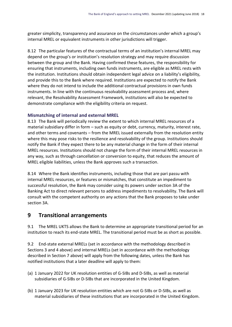greater simplicity, transparency and assurance on the circumstances under which a group's internal MREL or equivalent instruments in other jurisdictions will trigger.

8.12 The particular features of the contractual terms of an institution's internal MREL may depend on the group's or institution's resolution strategy and may require discussion between the group and the Bank. Having confirmed these features, the responsibility for ensuring that instruments, including own funds instruments, are eligible as MREL rests with the institution. Institutions should obtain independent legal advice on a liability's eligibility, and provide this to the Bank where required. Institutions are expected to notify the Bank where they do not intend to include the additional contractual provisions in own funds instruments. In line with the continuous resolvability assessment process and, where relevant, the Resolvability Assessment Framework, institutions will also be expected to demonstrate compliance with the eligibility criteria on request.

#### **Mismatching of internal and external MREL**

8.13 The Bank will periodically review the extent to which internal MREL resources of a material subsidiary differ in form – such as equity or debt, currency, maturity, interest rate, and other terms and covenants – from the MREL issued externally from the resolution entity where this may pose risks to the resilience and resolvability of the group. Institutions should notify the Bank if they expect there to be any material change in the form of their internal MREL resources. Institutions should not change the form of their internal MREL resources in any way, such as through cancellation or conversion to equity, that reduces the amount of MREL eligible liabilities, unless the Bank approves such a transaction.

8.14 Where the Bank identifies instruments, including those that are pari passu with internal MREL resources, or features or mismatches, that constitute an impediment to successful resolution, the Bank may consider using its powers under section 3A of the Banking Act to direct relevant persons to address impediments to resolvability. The Bank will consult with the competent authority on any actions that the Bank proposes to take under section 3A.

#### <span id="page-20-0"></span>**9 Transitional arrangements**

9.1 The MREL UKTS allows the Bank to determine an appropriate transitional period for an institution to reach its end-state MREL. The transitional period must be as short as possible.

9.2 End-state external MRELs (set in accordance with the methodology described in Sections 3 and 4 above) and internal MRELs (set in accordance with the methodology described in Section 7 above) will apply from the following dates, unless the Bank has notified institutions that a later deadline will apply to them:

- (a) 1 January 2022 for UK resolution entities of G-SIBs and D-SIBs, as well as material subsidiaries of G-SIBs or D-SIBs that are incorporated in the United Kingdom.
- (b) 1 January 2023 for UK resolution entities which are not G-SIBs or D-SIBs, as well as material subsidiaries of these institutions that are incorporated in the United Kingdom.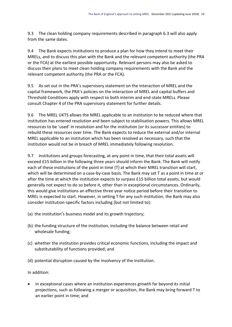9.3 The clean holding company requirements described in paragraph 6.3 will also apply from the same dates.

9.4 The Bank expects institutions to produce a plan for how they intend to meet their MRELs, and to discuss this plan with the Bank and the relevant competent authority (the PRA or the FCA) at the earliest possible opportunity. Relevant persons may also be asked to discuss their plans to meet clean holding company requirements with the Bank and the relevant competent authority (the PRA or the FCA).

9.5 As set out in the PRA's supervisory statement on the interaction of MREL and the capital framework, the PRA's policies on the interaction of MREL and capital buffers and Threshold Conditions apply with respect to both interim and end-state MRELs. Please consult Chapter 4 of the PRA supervisory statement for further details.

9.6 The MREL UKTS allows the MREL applicable to an institution to be reduced where that institution has entered resolution and been subject to stabilisation powers. This allows MREL resources to be 'used' in resolution and for the institution (or its successor entities) to rebuild these resources over time. The Bank expects to reduce the external and/or internal MREL applicable to an institution which has been resolved as necessary, such that the institution would not be in breach of MREL immediately following resolution.

9.7 Institutions and groups forecasting, at any point in time, that their total assets will exceed £15 billion in the following three years should inform the Bank. The Bank will notify each of these institutions of the point in time (T) at which their MREL transition will start, which will be determined on a case-by-case basis. The Bank may set T as a point in time at or after the time at which the institution expects to surpass £15 billion total assets, but would generally not expect to do so before it, other than in exceptional circumstances. Ordinarily, this would give institutions an effective three year notice period before their transition to MREL is expected to start. However, in setting T for any such institution, the Bank may also consider institution-specific factors including (but not limited to):

- (a) the institution's business model and its growth trajectory;
- (b) the funding structure of the institution, including the balance between retail and wholesale funding;
- (c) whether the institution provides critical economic functions, including the impact and substitutability of functions provided; and
- (d) potential disruption caused by the insolvency of the institution.

In addition:

 in exceptional cases where an institution experiences growth far beyond its initial projections, such as following a merger or acquisition, the Bank may bring forward T to an earlier point in time; and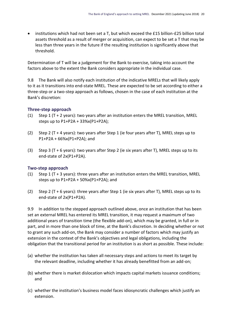institutions which had not been set a T, but which exceed the £15 billion-£25 billion total assets threshold as a result of merger or acquisition, can expect to be set a T that may be less than three years in the future if the resulting institution is significantly above that threshold.

Determination of T will be a judgement for the Bank to exercise, taking into account the factors above to the extent the Bank considers appropriate in the individual case.

9.8 The Bank will also notify each institution of the indicative MRELs that will likely apply to it as it transitions into end-state MREL. These are expected to be set according to either a three-step or a two-step approach as follows, chosen in the case of each institution at the Bank's discretion:

#### **Three-step approach**

- (1) Step 1 (T + 2 years): two years after an institution enters the MREL transition, MREL steps up to P1+P2A + 33%x(P1+P2A);
- (2) Step 2 (T + 4 years): two years after Step 1 (ie four years after T), MREL steps up to P1+P2A + 66%x(P1+P2A); and
- (3) Step 3 (T + 6 years): two years after Step 2 (ie six years after T), MREL steps up to its end-state of 2x(P1+P2A).

#### **Two-step approach**

- (1) Step 1 ( $T + 3$  years): three years after an institution enters the MREL transition, MREL steps up to P1+P2A + 50%x(P1+P2A); and
- (2) Step 2 ( $T + 6$  years): three years after Step 1 (ie six years after T), MREL steps up to its end-state of 2x(P1+P2A).

9.9 In addition to the stepped approach outlined above, once an institution that has been set an external MREL has entered its MREL transition, it may request a maximum of two additional years of transition time (the flexible add-on), which may be granted, in full or in part, and in more than one block of time, at the Bank's discretion. In deciding whether or not to grant any such add-on, the Bank may consider a number of factors which may justify an extension in the context of the Bank's objectives and legal obligations, including the obligation that the transitional period for an institution is as short as possible. These include:

- (a) whether the institution has taken all necessary steps and actions to meet its target by the relevant deadline, including whether it has already benefitted from an add-on;
- (b) whether there is market dislocation which impacts capital markets issuance conditions; and
- (c) whether the institution's business model faces idiosyncratic challenges which justify an extension.